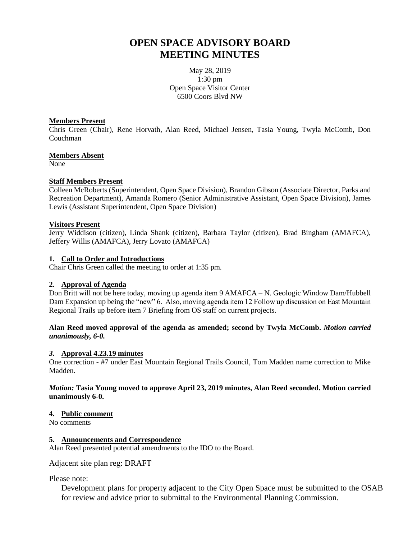# **OPEN SPACE ADVISORY BOARD MEETING MINUTES**

May 28, 2019 1:30 pm Open Space Visitor Center 6500 Coors Blvd NW

#### **Members Present**

Chris Green (Chair), Rene Horvath, Alan Reed, Michael Jensen, Tasia Young, Twyla McComb, Don Couchman

#### **Members Absent**

None

### **Staff Members Present**

Colleen McRoberts (Superintendent, Open Space Division), Brandon Gibson (Associate Director, Parks and Recreation Department), Amanda Romero (Senior Administrative Assistant, Open Space Division), James Lewis (Assistant Superintendent, Open Space Division)

#### **Visitors Present**

Jerry Widdison (citizen), Linda Shank (citizen), Barbara Taylor (citizen), Brad Bingham (AMAFCA), Jeffery Willis (AMAFCA), Jerry Lovato (AMAFCA)

#### **1. Call to Order and Introductions**

Chair Chris Green called the meeting to order at 1:35 pm.

### **2. Approval of Agenda**

Don Britt will not be here today, moving up agenda item 9 AMAFCA – N. Geologic Window Dam/Hubbell Dam Expansion up being the "new" 6. Also, moving agenda item 12 Follow up discussion on East Mountain Regional Trails up before item 7 Briefing from OS staff on current projects.

## **Alan Reed moved approval of the agenda as amended; second by Twyla McComb.** *Motion carried unanimously, 6-0.*

#### *3.* **Approval 4.23.19 minutes**

One correction - #7 under East Mountain Regional Trails Council, Tom Madden name correction to Mike Madden.

### *Motion:* **Tasia Young moved to approve April 23, 2019 minutes, Alan Reed seconded. Motion carried unanimously 6-0.**

#### **4. Public comment**

No comments

### **5. Announcements and Correspondence**

Alan Reed presented potential amendments to the IDO to the Board.

Adjacent site plan reg: DRAFT

Please note:

Development plans for property adjacent to the City Open Space must be submitted to the OSAB for review and advice prior to submittal to the Environmental Planning Commission.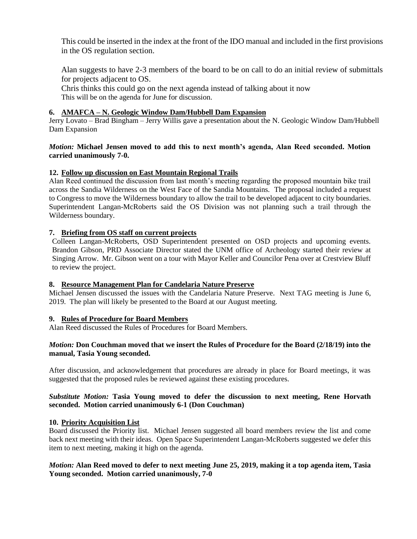This could be inserted in the index at the front of the IDO manual and included in the first provisions in the OS regulation section.

Alan suggests to have 2-3 members of the board to be on call to do an initial review of submittals for projects adjacent to OS.

Chris thinks this could go on the next agenda instead of talking about it now This will be on the agenda for June for discussion.

## **6. AMAFCA – N. Geologic Window Dam/Hubbell Dam Expansion**

Jerry Lovato – Brad Bingham – Jerry Willis gave a presentation about the N. Geologic Window Dam/Hubbell Dam Expansion

### *Motion:* **Michael Jensen moved to add this to next month's agenda, Alan Reed seconded. Motion carried unanimously 7-0.**

## **12. Follow up discussion on East Mountain Regional Trails**

Alan Reed continued the discussion from last month's meeting regarding the proposed mountain bike trail across the Sandia Wilderness on the West Face of the Sandia Mountains. The proposal included a request to Congress to move the Wilderness boundary to allow the trail to be developed adjacent to city boundaries. Superintendent Langan-McRoberts said the OS Division was not planning such a trail through the Wilderness boundary.

## **7. Briefing from OS staff on current projects**

Colleen Langan-McRoberts, OSD Superintendent presented on OSD projects and upcoming events. Brandon Gibson, PRD Associate Director stated the UNM office of Archeology started their review at Singing Arrow. Mr. Gibson went on a tour with Mayor Keller and Councilor Pena over at Crestview Bluff to review the project.

## **8. Resource Management Plan for Candelaria Nature Preserve**

Michael Jensen discussed the issues with the Candelaria Nature Preserve. Next TAG meeting is June 6, 2019. The plan will likely be presented to the Board at our August meeting.

### **9. Rules of Procedure for Board Members**

Alan Reed discussed the Rules of Procedures for Board Members.

## *Motion:* **Don Couchman moved that we insert the Rules of Procedure for the Board (2/18/19) into the manual, Tasia Young seconded.**

After discussion, and acknowledgement that procedures are already in place for Board meetings, it was suggested that the proposed rules be reviewed against these existing procedures.

### *Substitute Motion:* **Tasia Young moved to defer the discussion to next meeting, Rene Horvath seconded. Motion carried unanimously 6-1 (Don Couchman)**

### **10. Priority Acquisition List**

Board discussed the Priority list. Michael Jensen suggested all board members review the list and come back next meeting with their ideas. Open Space Superintendent Langan-McRoberts suggested we defer this item to next meeting, making it high on the agenda.

## *Motion:* **Alan Reed moved to defer to next meeting June 25, 2019, making it a top agenda item, Tasia Young seconded. Motion carried unanimously, 7-0**